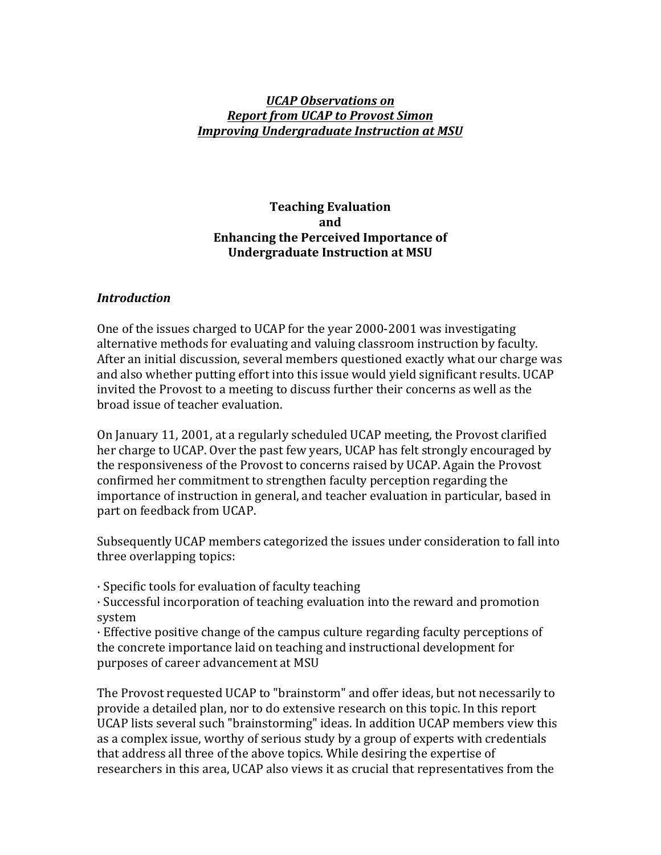#### *UCAP Observations on Report from UCAP to Provost Simon Improving Undergraduate Instruction at MSU*

#### **Teaching Evaluation and Enhancing the Perceived Importance of Undergraduate Instruction at MSU**

#### *Introduction*

One of the issues charged to UCAP for the year 2000-2001 was investigating alternative methods for evaluating and valuing classroom instruction by faculty. After an initial discussion, several members questioned exactly what our charge was and also whether putting effort into this issue would yield significant results. UCAP invited the Provost to a meeting to discuss further their concerns as well as the broad issue of teacher evaluation.

On January 11, 2001, at a regularly scheduled UCAP meeting, the Provost clarified her charge to UCAP. Over the past few years, UCAP has felt strongly encouraged by the responsiveness of the Provost to concerns raised by UCAP. Again the Provost confirmed her commitment to strengthen faculty perception regarding the importance of instruction in general, and teacher evaluation in particular, based in part on feedback from UCAP.

Subsequently UCAP members categorized the issues under consideration to fall into three overlapping topics:

 $\cdot$  Specific tools for evaluation of faculty teaching

· Successful incorporation of teaching evaluation into the reward and promotion system

 $\cdot$  Effective positive change of the campus culture regarding faculty perceptions of the concrete importance laid on teaching and instructional development for purposes of career advancement at MSU

The Provost requested UCAP to "brainstorm" and offer ideas, but not necessarily to provide a detailed plan, nor to do extensive research on this topic. In this report UCAP lists several such "brainstorming" ideas. In addition UCAP members view this as a complex issue, worthy of serious study by a group of experts with credentials that address all three of the above topics. While desiring the expertise of researchers in this area, UCAP also views it as crucial that representatives from the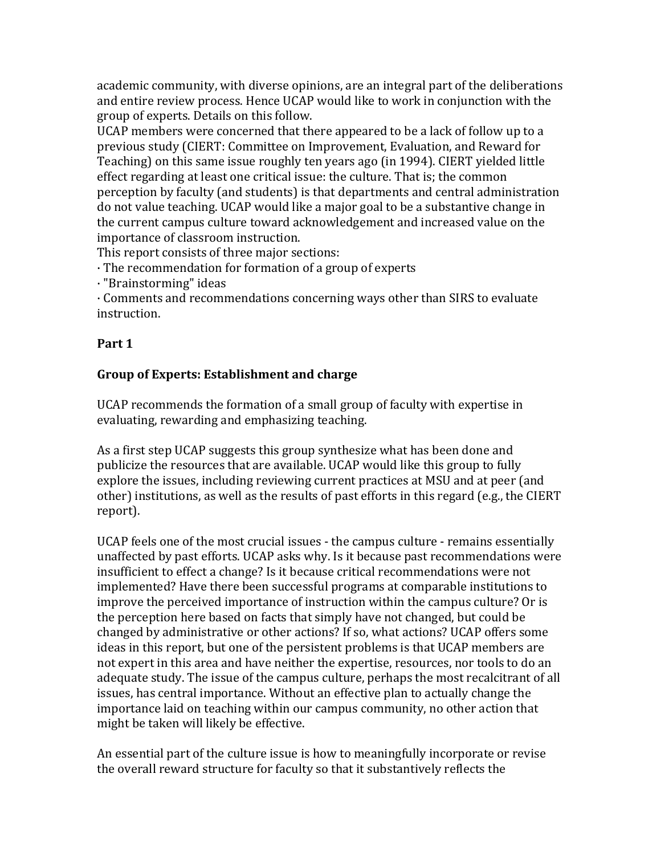academic community, with diverse opinions, are an integral part of the deliberations and entire review process. Hence UCAP would like to work in conjunction with the group of experts. Details on this follow.

UCAP members were concerned that there appeared to be a lack of follow up to a previous study (CIERT: Committee on Improvement, Evaluation, and Reward for Teaching) on this same issue roughly ten years ago (in 1994). CIERT vielded little effect regarding at least one critical issue: the culture. That is; the common perception by faculty (and students) is that departments and central administration do not value teaching. UCAP would like a major goal to be a substantive change in the current campus culture toward acknowledgement and increased value on the importance of classroom instruction.

This report consists of three major sections:

 $\cdot$  The recommendation for formation of a group of experts

· "Brainstorming" ideas

 $\cdot$  Comments and recommendations concerning ways other than SIRS to evaluate instruction.

### **Part 1**

# **Group of Experts: Establishment and charge**

UCAP recommends the formation of a small group of faculty with expertise in evaluating, rewarding and emphasizing teaching.

As a first step UCAP suggests this group synthesize what has been done and publicize the resources that are available. UCAP would like this group to fully explore the issues, including reviewing current practices at MSU and at peer (and other) institutions, as well as the results of past efforts in this regard (e.g., the CIERT report).

UCAP feels one of the most crucial issues - the campus culture - remains essentially unaffected by past efforts. UCAP asks why. Is it because past recommendations were insufficient to effect a change? Is it because critical recommendations were not implemented? Have there been successful programs at comparable institutions to improve the perceived importance of instruction within the campus culture? Or is the perception here based on facts that simply have not changed, but could be changed by administrative or other actions? If so, what actions? UCAP offers some ideas in this report, but one of the persistent problems is that UCAP members are not expert in this area and have neither the expertise, resources, nor tools to do an adequate study. The issue of the campus culture, perhaps the most recalcitrant of all issues, has central importance. Without an effective plan to actually change the importance laid on teaching within our campus community, no other action that might be taken will likely be effective.

An essential part of the culture issue is how to meaningfully incorporate or revise the overall reward structure for faculty so that it substantively reflects the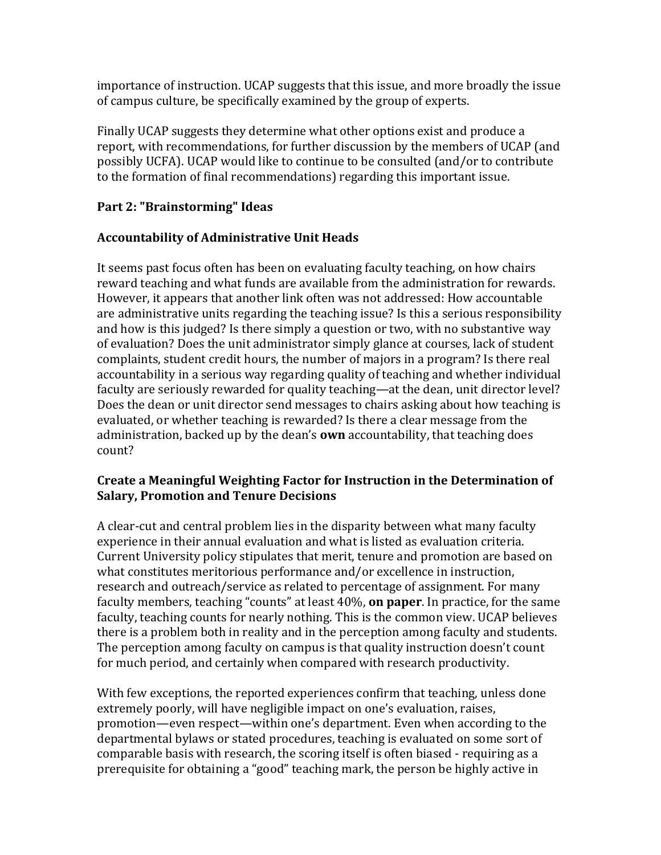importance of instruction. UCAP suggests that this issue, and more broadly the issue of campus culture, be specifically examined by the group of experts.

Finally UCAP suggests they determine what other options exist and produce a report, with recommendations, for further discussion by the members of UCAP (and possibly UCFA). UCAP would like to continue to be consulted (and/or to contribute to the formation of final recommendations) regarding this important issue.

# **Part 2: "Brainstorming" Ideas**

# **Accountability of Administrative Unit Heads**

It seems past focus often has been on evaluating faculty teaching, on how chairs reward teaching and what funds are available from the administration for rewards. However, it appears that another link often was not addressed: How accountable are administrative units regarding the teaching issue? Is this a serious responsibility and how is this judged? Is there simply a question or two, with no substantive way of evaluation? Does the unit administrator simply glance at courses, lack of student complaints, student credit hours, the number of majors in a program? Is there real accountability in a serious way regarding quality of teaching and whether individual faculty are seriously rewarded for quality teaching—at the dean, unit director level? Does the dean or unit director send messages to chairs asking about how teaching is evaluated, or whether teaching is rewarded? Is there a clear message from the administration, backed up by the dean's **own** accountability, that teaching does count?

#### **Create a Meaningful Weighting Factor for Instruction in the Determination of Salary, Promotion and Tenure Decisions**

A clear-cut and central problem lies in the disparity between what many faculty experience in their annual evaluation and what is listed as evaluation criteria. Current University policy stipulates that merit, tenure and promotion are based on what constitutes meritorious performance and/or excellence in instruction, research and outreach/service as related to percentage of assignment. For many faculty members, teaching "counts" at least 40%, **on paper**. In practice, for the same faculty, teaching counts for nearly nothing. This is the common view. UCAP believes there is a problem both in reality and in the perception among faculty and students. The perception among faculty on campus is that quality instruction doesn't count for much period, and certainly when compared with research productivity.

With few exceptions, the reported experiences confirm that teaching, unless done extremely poorly, will have negligible impact on one's evaluation, raises, promotion—even respect—within one's department. Even when according to the departmental bylaws or stated procedures, teaching is evaluated on some sort of comparable basis with research, the scoring itself is often biased - requiring as a prerequisite for obtaining a "good" teaching mark, the person be highly active in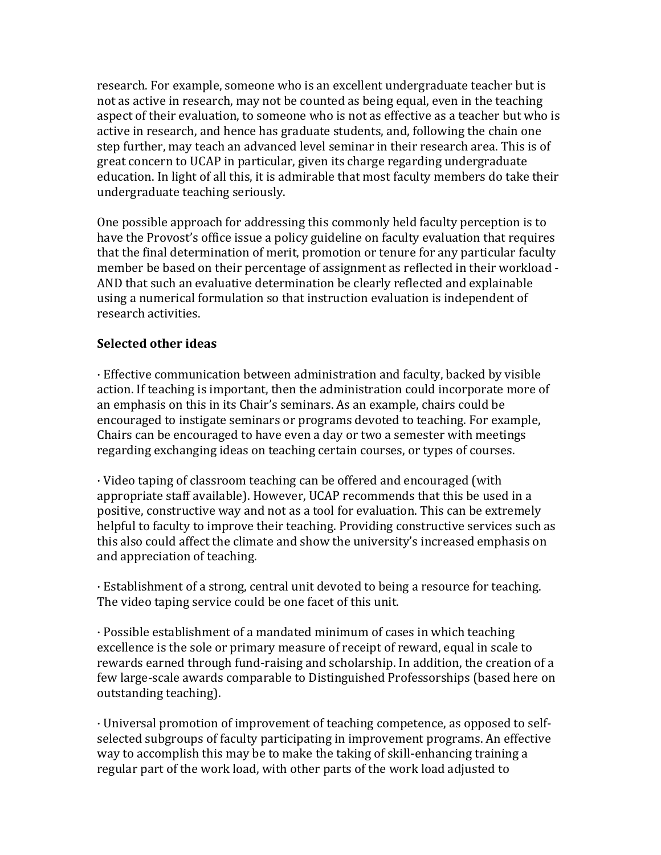research. For example, someone who is an excellent undergraduate teacher but is not as active in research, may not be counted as being equal, even in the teaching aspect of their evaluation, to someone who is not as effective as a teacher but who is active in research, and hence has graduate students, and, following the chain one step further, may teach an advanced level seminar in their research area. This is of great concern to UCAP in particular, given its charge regarding undergraduate education. In light of all this, it is admirable that most faculty members do take their undergraduate teaching seriously.

One possible approach for addressing this commonly held faculty perception is to have the Provost's office issue a policy guideline on faculty evaluation that requires that the final determination of merit, promotion or tenure for any particular faculty member be based on their percentage of assignment as reflected in their workload -AND that such an evaluative determination be clearly reflected and explainable using a numerical formulation so that instruction evaluation is independent of research activities.

#### **Selected other ideas**

· Effective communication between administration and faculty, backed by visible action. If teaching is important, then the administration could incorporate more of an emphasis on this in its Chair's seminars. As an example, chairs could be encouraged to instigate seminars or programs devoted to teaching. For example, Chairs can be encouraged to have even a day or two a semester with meetings regarding exchanging ideas on teaching certain courses, or types of courses.

 $\cdot$  Video taping of classroom teaching can be offered and encouraged (with appropriate staff available). However, UCAP recommends that this be used in a positive, constructive way and not as a tool for evaluation. This can be extremely helpful to faculty to improve their teaching. Providing constructive services such as this also could affect the climate and show the university's increased emphasis on and appreciation of teaching.

· Establishment of a strong, central unit devoted to being a resource for teaching. The video taping service could be one facet of this unit.

 $\cdot$  Possible establishment of a mandated minimum of cases in which teaching excellence is the sole or primary measure of receipt of reward, equal in scale to rewards earned through fund-raising and scholarship. In addition, the creation of a few large-scale awards comparable to Distinguished Professorships (based here on outstanding teaching).

 $\cdot$  Universal promotion of improvement of teaching competence, as opposed to selfselected subgroups of faculty participating in improvement programs. An effective way to accomplish this may be to make the taking of skill-enhancing training a regular part of the work load, with other parts of the work load adjusted to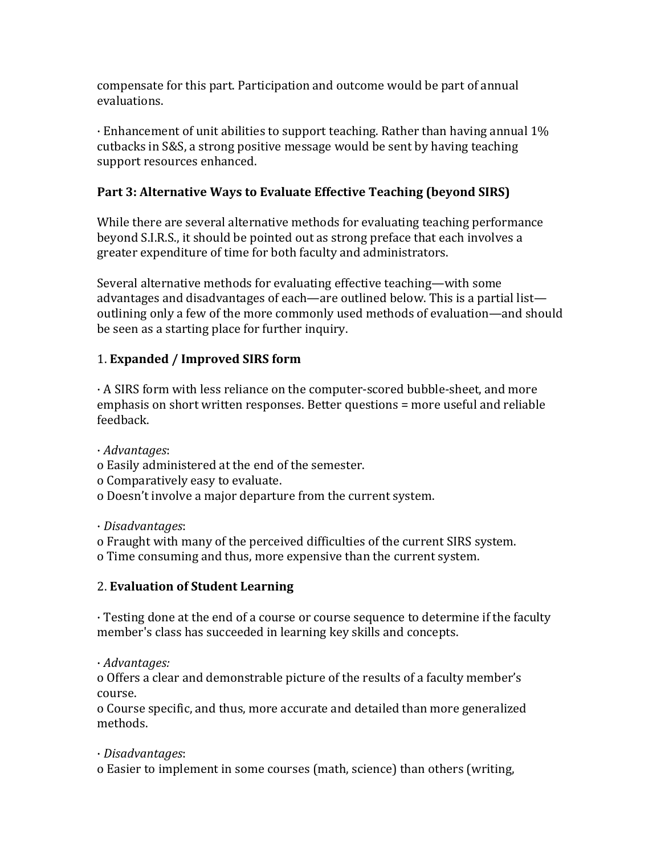compensate for this part. Participation and outcome would be part of annual evaluations.

 $\cdot$  Enhancement of unit abilities to support teaching. Rather than having annual 1% cutbacks in S&S, a strong positive message would be sent by having teaching support resources enhanced.

## **Part 3: Alternative Ways to Evaluate Effective Teaching (beyond SIRS)**

While there are several alternative methods for evaluating teaching performance beyond S.I.R.S., it should be pointed out as strong preface that each involves a greater expenditure of time for both faculty and administrators.

Several alternative methods for evaluating effective teaching—with some advantages and disadvantages of each—are outlined below. This is a partial list outlining only a few of the more commonly used methods of evaluation—and should be seen as a starting place for further inquiry.

### 1. **Expanded / Improved SIRS form**

 $\cdot$  A SIRS form with less reliance on the computer-scored bubble-sheet, and more emphasis on short written responses. Better questions = more useful and reliable feedback.

· *Advantages*:

- o Easily administered at the end of the semester.
- o Comparatively easy to evaluate.
- o Doesn't involve a major departure from the current system.

· *Disadvantages*:

- o Fraught with many of the perceived difficulties of the current SIRS system.
- o Time consuming and thus, more expensive than the current system.

# 2. **Evaluation of Student Learning**

 $\cdot$  Testing done at the end of a course or course sequence to determine if the faculty member's class has succeeded in learning key skills and concepts.

· *Advantages:*

o Offers a clear and demonstrable picture of the results of a faculty member's course.

o Course specific, and thus, more accurate and detailed than more generalized methods.

### · *Disadvantages*:

o Easier to implement in some courses (math, science) than others (writing,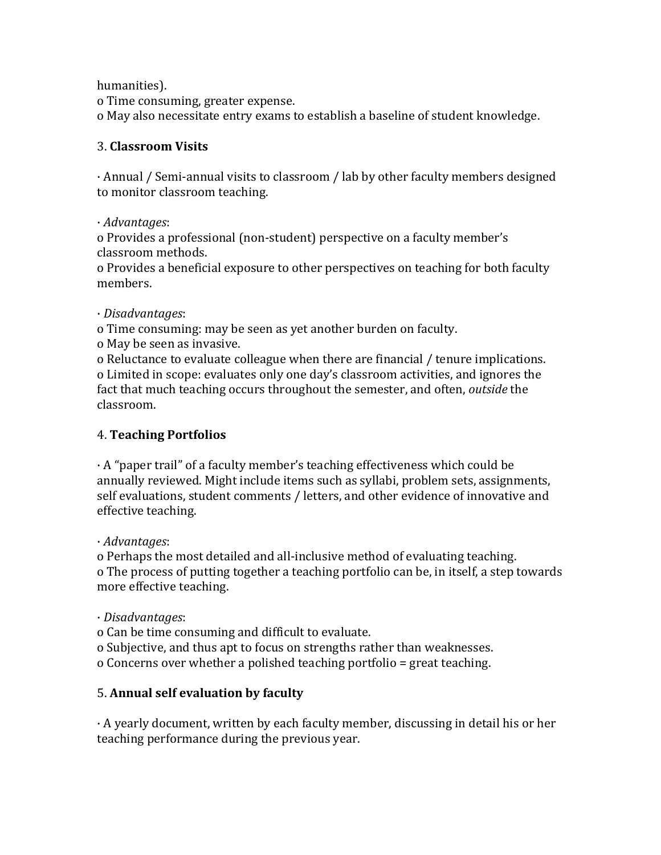humanities).

o Time consuming, greater expense. o May also necessitate entry exams to establish a baseline of student knowledge.

## 3. **Classroom Visits**

 $\cdot$  Annual / Semi-annual visits to classroom / lab by other faculty members designed to monitor classroom teaching.

· *Advantages*:

o Provides a professional (non-student) perspective on a faculty member's classroom methods.

o Provides a beneficial exposure to other perspectives on teaching for both faculty members.

### · *Disadvantages*:

o Time consuming: may be seen as yet another burden on faculty.

o May be seen as invasive.

o Reluctance to evaluate colleague when there are financial / tenure implications. o Limited in scope: evaluates only one day's classroom activities, and ignores the fact that much teaching occurs throughout the semester, and often, *outside* the classroom.

# 4. **Teaching Portfolios**

 $\cdot$  A "paper trail" of a faculty member's teaching effectiveness which could be annually reviewed. Might include items such as syllabi, problem sets, assignments, self evaluations, student comments / letters, and other evidence of innovative and effective teaching.

· *Advantages*:

o Perhaps the most detailed and all-inclusive method of evaluating teaching. o The process of putting together a teaching portfolio can be, in itself, a step towards more effective teaching.

· *Disadvantages*:

o Can be time consuming and difficult to evaluate.

o Subjective, and thus apt to focus on strengths rather than weaknesses.

o Concerns over whether a polished teaching portfolio = great teaching.

# 5. **Annual self evaluation by faculty**

 $\cdot$  A yearly document, written by each faculty member, discussing in detail his or her teaching performance during the previous year.